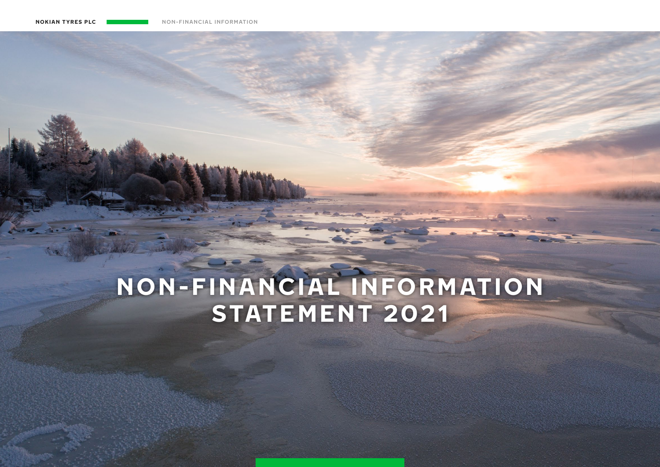# **NON-FINANCIAL INFORMATION STATEMENT 2021**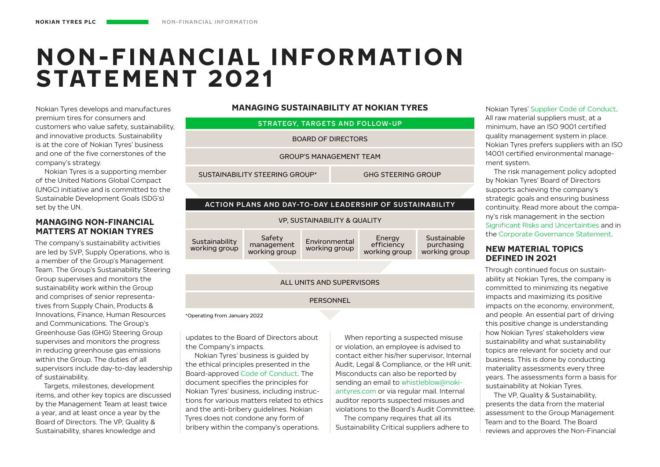# **NON-FINANCIAL INFORMATION STATEMENT 2021**

Nokian Tyres develops and manufactures premium tires for consumers and customers who value safety, sustainability, and innovative products. Sustainability is at the core of Nokian Tyres' business and one of the five cornerstones of the company's strategy.

Nokian Tyres is a supporting member of the United Nations Global Compact (UNGC) initiative and is committed to the Sustainable Development Goals (SDG's) set by the UN.

### **MANAGING NON-FINANCIAL MATTERS AT NOKIAN TYRES**

The company's sustainability activities are led by SVP, Supply Operations, who is a member of the Group's Management Team. The Group's Sustainability Steering Group supervises and monitors the sustainability work within the Group and comprises of senior representatives from Supply Chain, Products & Innovations, Finance, Human Resources and Communications. The Group's Greenhouse Gas (GHG) Steering Group supervises and monitors the progress in reducing greenhouse gas emissions within the Group. The duties of all supervisors include day-to-day leadership of sustainability.

Targets, milestones, development items, and other key topics are discussed by the Management Team at least twice a year, and at least once a year by the Board of Directors. The VP, Quality & Sustainability, shares knowledge and

**MANAGING SUSTAINABILITY AT NOKIAN TYRES**

| <b>STRATEGY, TARGETS AND FOLLOW-UP</b>                             |                                       |                                                          |                                       |                                            |
|--------------------------------------------------------------------|---------------------------------------|----------------------------------------------------------|---------------------------------------|--------------------------------------------|
| <b>BOARD OF DIRECTORS</b>                                          |                                       |                                                          |                                       |                                            |
|                                                                    |                                       | <b>GROUP'S MANAGEMENT TEAM</b>                           |                                       |                                            |
| <b>SUSTAINABILITY STEERING GROUP*</b><br><b>GHG STEERING GROUP</b> |                                       |                                                          |                                       |                                            |
|                                                                    |                                       |                                                          |                                       |                                            |
|                                                                    |                                       | ACTION PLANS AND DAY-TO-DAY LEADERSHIP OF SUSTAINABILITY |                                       |                                            |
| <b>VP. SUSTAINABILITY &amp; QUALITY</b>                            |                                       |                                                          |                                       |                                            |
| Sustainability<br>working group                                    | Safety<br>management<br>working group | <b>Fnvironmental</b><br>working group                    | Energy<br>efficiency<br>working group | Sustainable<br>purchasing<br>working group |
|                                                                    |                                       |                                                          |                                       |                                            |
| ALL UNITS AND SUPERVISORS                                          |                                       |                                                          |                                       |                                            |
| PERSONNEL                                                          |                                       |                                                          |                                       |                                            |
| *Operating from January 2022                                       |                                       |                                                          |                                       |                                            |

updates to the Board of Directors about the Company's impacts.

Nokian Tyres' business is guided by the ethical principles presented in the Board-approved [Code of Conduct.](https://www.nokiantyres.com/company/sustainability/code-of-conduct/) The document specifies the principles for Nokian Tyres' business, including instructions for various matters related to ethics and the anti-bribery guidelines. Nokian Tyres does not condone any form of bribery within the company's operations.

When reporting a suspected misuse or violation, an employee is advised to contact either his/her supervisor, Internal Audit, Legal & Compliance, or the HR unit. Misconducts can also be reported by sending an email to [whistleblow@noki](http://whistleblow@nokiantyres.com)[antyres.com](http://whistleblow@nokiantyres.com) or via regular mail. Internal auditor reports suspected misuses and violations to the Board's Audit Committee.

The company requires that all its Sustainability Critical suppliers adhere to

Nokian Tyres' [Supplier Code of Conduct.](https://www.nokiantyres.com/company/sustainability/supplier-code-of-conduct/) All raw material suppliers must, at a minimum, have an ISO 9001 certified quality management system in place. Nokian Tyres prefers suppliers with an ISO 14001 certified environmental management system.

The risk management policy adopted by Nokian Tyres' Board of Directors supports achieving the company's strategic goals and ensuring business continuity. Read more about the company's risk management in the section Significant Risks and Uncertainties and in the Corporate Governance Statement.

### **NEW MATERIAL TOPICS DEFINED IN 2021**

Through continued focus on sustainability at Nokian Tyres, the company is committed to minimizing its negative impacts and maximizing its positive impacts on the economy, environment, and people. An essential part of driving this positive change is understanding how Nokian Tyres' stakeholders view sustainability and what sustainability topics are relevant for society and our business. This is done by conducting materiality assessments every three years. The assessments form a basis for sustainability at Nokian Tyres.

The VP, Quality & Sustainability, presents the data from the material assessment to the Group Management Team and to the Board. The Board reviews and approves the Non-Financial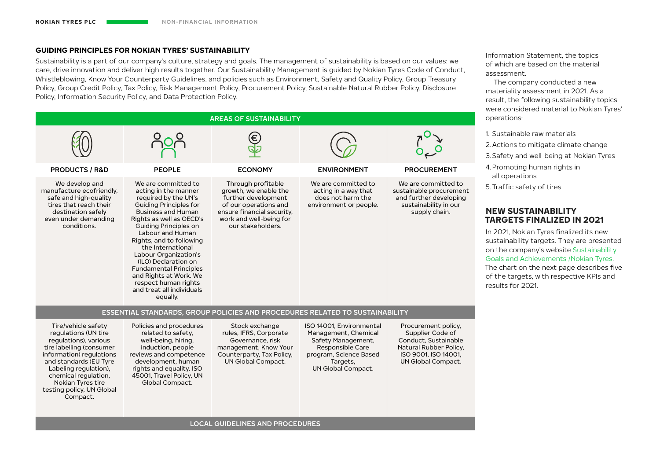#### **GUIDING PRINCIPLES FOR NOKIAN TYRES' SUSTAINABILITY**

Sustainability is a part of our company's culture, strategy and goals. The management of sustainability is based on our values: we care, drive innovation and deliver high results together. Our Sustainability Management is guided by Nokian Tyres Code of Conduct, Whistleblowing, Know Your Counterparty Guidelines, and policies such as Environment, Safety and Quality Policy, Group Treasury Policy, Group Credit Policy, Tax Policy, Risk Management Policy, Procurement Policy, Sustainable Natural Rubber Policy, Disclosure Policy, Information Security Policy, and Data Protection Policy.



Information Statement, the topics of which are based on the material assessment.

The company conducted a new materiality assessment in 2021. As a result, the following sustainability topics were considered material to Nokian Tyres'

- 2.Actions to mitigate climate change
- 3.Safety and well-being at Nokian Tyres

# **TARGETS FINALIZED IN 2021**

In 2021, Nokian Tyres finalized its new sustainability targets. They are presented on the company's website [Sustainability](https://www.nokiantyres.com/company/sustainability/fundamentals/our-targets-and-achievements/)  [Goals and Achievements /Nokian Tyres](https://www.nokiantyres.com/company/sustainability/fundamentals/our-targets-and-achievements/). The chart on the next page describes five of the targets, with respective KPIs and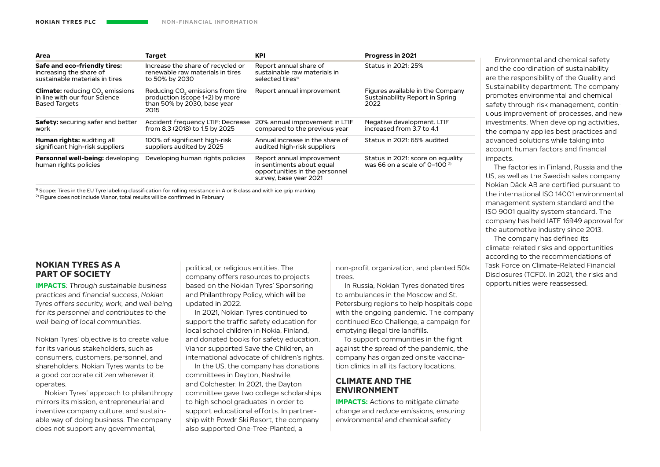| Area                                                                                                        | <b>Target</b>                                                                                                         | <b>KPI</b>                                                                                                         | Progress in 2021                                                            |
|-------------------------------------------------------------------------------------------------------------|-----------------------------------------------------------------------------------------------------------------------|--------------------------------------------------------------------------------------------------------------------|-----------------------------------------------------------------------------|
| Safe and eco-friendly tires:                                                                                | Increase the share of recycled or                                                                                     | Report annual share of                                                                                             | Status in 2021: 25%                                                         |
| increasing the share of                                                                                     | renewable raw materials in tires                                                                                      | sustainable raw materials in                                                                                       |                                                                             |
| sustainable materials in tires                                                                              | to 50% by 2030                                                                                                        | selected tires <sup>1)</sup>                                                                                       |                                                                             |
| <b>Climate:</b> reducing CO <sub>2</sub> emissions<br>in line with our four Science<br><b>Based Targets</b> | Reducing CO <sub>2</sub> emissions from tire<br>production (scope 1+2) by more<br>than 50% by 2030, base year<br>2015 | Report annual improvement                                                                                          | Figures available in the Company<br>Sustainability Report in Spring<br>2022 |
| <b>Safety:</b> securing safer and better                                                                    | Accident frequency LTIF: Decrease                                                                                     | 20% annual improvement in LTIF                                                                                     | Negative development. LTIF                                                  |
| work                                                                                                        | from 8.3 (2018) to 1.5 by 2025                                                                                        | compared to the previous year                                                                                      | increased from 3.7 to 4.1                                                   |
| <b>Human rights: auditing all</b>                                                                           | 100% of significant high-risk                                                                                         | Annual increase in the share of                                                                                    | Status in 2021: 65% audited                                                 |
| significant high-risk suppliers                                                                             | suppliers audited by 2025                                                                                             | audited high-risk suppliers                                                                                        |                                                                             |
| Personnel well-being: developing<br>human rights policies                                                   | Developing human rights policies                                                                                      | Report annual improvement<br>in sentiments about equal<br>opportunities in the personnel<br>survey, base year 2021 | Status in 2021: score on equality<br>was 66 on a scale of $0-100$ $2)$      |

 $<sup>1</sup>$  Scope: Tires in the EU Tyre labeling classification for rolling resistance in A or B class and with ice grip marking</sup>

<sup>2)</sup> Figure does not include Vianor, total results will be confirmed in February

### **NOKIAN TYRES AS A PART OF SOCIETY**

**IMPACTS:** Through sustainable business practices and financial success, Nokian Tyres offers security, work, and well-being for its personnel and contributes to the well-being of local communities.

Nokian Tyres' objective is to create value for its various stakeholders, such as consumers, customers, personnel, and shareholders. Nokian Tyres wants to be a good corporate citizen wherever it operates.

Nokian Tyres' approach to philanthropy mirrors its mission, entrepreneurial and inventive company culture, and sustainable way of doing business. The company does not support any governmental,

political, or religious entities. The company offers resources to projects based on the Nokian Tyres' Sponsoring and Philanthropy Policy, which will be updated in 2022.

In 2021, Nokian Tyres continued to support the traffic safety education for local school children in Nokia, Finland, and donated books for safety education. Vianor supported Save the Children, an international advocate of children's rights.

In the US, the company has donations committees in Dayton, Nashville, and Colchester. In 2021, the Dayton committee gave two college scholarships to high school graduates in order to support educational efforts. In partnership with Powdr Ski Resort, the company also supported One-Tree-Planted, a

non-profit organization, and planted 50k trees.

In Russia, Nokian Tyres donated tires to ambulances in the Moscow and St. Petersburg regions to help hospitals cope with the ongoing pandemic. The company continued Eco Challenge, a campaign for emptying illegal tire landfills.

To support communities in the fight against the spread of the pandemic, the company has organized onsite vaccination clinics in all its factory locations.

# **CLIMATE AND THE ENVIRONMENT**

**IMPACTS:** Actions to mitigate climate change and reduce emissions, ensuring environmental and chemical safety

Environmental and chemical safety and the coordination of sustainability are the responsibility of the Quality and Sustainability department. The company promotes environmental and chemical safety through risk management, continuous improvement of processes, and new investments. When developing activities, the company applies best practices and advanced solutions while taking into account human factors and financial impacts.

The factories in Finland, Russia and the US, as well as the Swedish sales company Nokian Däck AB are certified pursuant to the international ISO 14001 environmental management system standard and the ISO 9001 quality system standard. The company has held IATF 16949 approval for the automotive industry since 2013.

The company has defined its climate-related risks and opportunities according to the recommendations of Task Force on Climate-Related Financial Disclosures (TCFD). In 2021, the risks and opportunities were reassessed.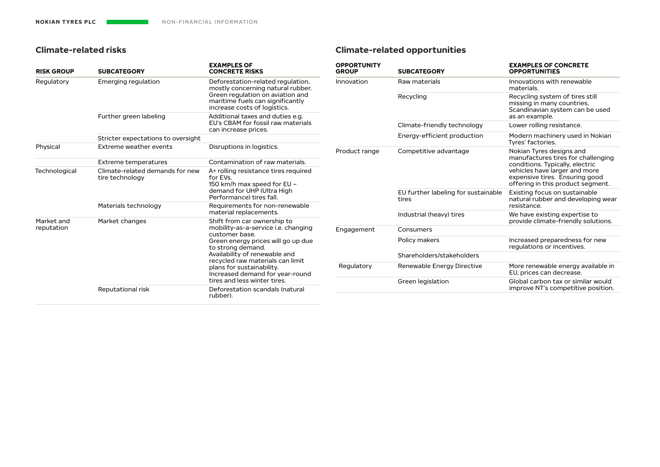# **Climate-related risks**

# **Climate-related opportunities**

| <b>RISK GROUP</b>                                                                           | <b>SUBCATEGORY</b>                                                              | <b>EXAMPLES OF</b><br><b>CONCRETE RISKS</b>                                                                                                                                                                                                                                       | <b>OPPORTUNITY</b><br><b>GROUP</b> | <b>SUBCATEGORY</b>                                                                                   | <b>EXAMPLES OF CONCRETE</b><br><b>OPPORTUNITIES</b>                                               |
|---------------------------------------------------------------------------------------------|---------------------------------------------------------------------------------|-----------------------------------------------------------------------------------------------------------------------------------------------------------------------------------------------------------------------------------------------------------------------------------|------------------------------------|------------------------------------------------------------------------------------------------------|---------------------------------------------------------------------------------------------------|
| Regulatory<br>Emerging regulation                                                           |                                                                                 | Deforestation-related regulation,<br>mostly concerning natural rubber.                                                                                                                                                                                                            | Innovation                         | Raw materials                                                                                        | Innovations with renewable<br>materials.                                                          |
|                                                                                             |                                                                                 | Green regulation on aviation and<br>maritime fuels can significantly<br>increase costs of logistics.                                                                                                                                                                              |                                    | Recycling                                                                                            | Recycling system of tires still<br>missing in many countries,<br>Scandinavian system can be used  |
|                                                                                             | Further green labeling                                                          | Additional taxes and duties e.g.<br>EU's CBAM for fossil raw materials                                                                                                                                                                                                            |                                    |                                                                                                      | as an example.                                                                                    |
|                                                                                             |                                                                                 | can increase prices.                                                                                                                                                                                                                                                              |                                    | Climate-friendly technology                                                                          | Lower rolling resistance.                                                                         |
|                                                                                             | Stricter expectations to oversight                                              |                                                                                                                                                                                                                                                                                   |                                    | Energy-efficient production                                                                          | Modern machinery used in Nokian<br>Tyres' factories.                                              |
| Physical                                                                                    | Extreme weather events                                                          | Disruptions in logistics.                                                                                                                                                                                                                                                         | Product range                      | Competitive advantage                                                                                | Nokian Tyres designs and<br>manufactures tires for challenging<br>conditions. Typically, electric |
|                                                                                             | <b>Extreme temperatures</b>                                                     | Contamination of raw materials.                                                                                                                                                                                                                                                   |                                    |                                                                                                      |                                                                                                   |
| Climate-related demands for new<br>Technological<br>tire technology<br>Materials technology | A+ rolling resistance tires required<br>for EVs.<br>150 km/h max speed for EU - |                                                                                                                                                                                                                                                                                   |                                    | vehicles have larger and more<br>expensive tires. Ensuring good<br>offering in this product segment. |                                                                                                   |
|                                                                                             |                                                                                 | demand for UHP (Ultra High<br>Performance) tires fall.                                                                                                                                                                                                                            | tires                              | EU further labeling for sustainable                                                                  | Existing focus on sustainable<br>natural rubber and developing wear                               |
|                                                                                             |                                                                                 | Requirements for non-renewable<br>material replacements.                                                                                                                                                                                                                          |                                    |                                                                                                      | resistance.                                                                                       |
| Market changes<br>Market and<br>reputation                                                  | Shift from car ownership to                                                     |                                                                                                                                                                                                                                                                                   | Industrial (heavy) tires           | We have existing expertise to<br>provide climate-friendly solutions.                                 |                                                                                                   |
|                                                                                             |                                                                                 | mobility-as-a-service i.e. changing<br>Engagement<br>customer base.<br>Green energy prices will go up due<br>to strong demand.<br>Availability of renewable and<br>recycled raw materials can limit<br>Regulatory<br>plans for sustainability.<br>Increased demand for year-round |                                    | Consumers                                                                                            |                                                                                                   |
|                                                                                             |                                                                                 |                                                                                                                                                                                                                                                                                   |                                    | Policy makers                                                                                        | Increased preparedness for new<br>regulations or incentives.                                      |
|                                                                                             |                                                                                 |                                                                                                                                                                                                                                                                                   |                                    | Shareholders/stakeholders                                                                            |                                                                                                   |
|                                                                                             |                                                                                 |                                                                                                                                                                                                                                                                                   | Renewable Energy Directive         | More renewable energy available in<br>EU, prices can decrease.                                       |                                                                                                   |
|                                                                                             | Reputational risk                                                               | tires and less winter tires.<br>Deforestation scandals (natural                                                                                                                                                                                                                   |                                    | Green legislation                                                                                    | Global carbon tax or similar would<br>improve NT's competitive position.                          |
|                                                                                             | rubber).                                                                        |                                                                                                                                                                                                                                                                                   |                                    |                                                                                                      |                                                                                                   |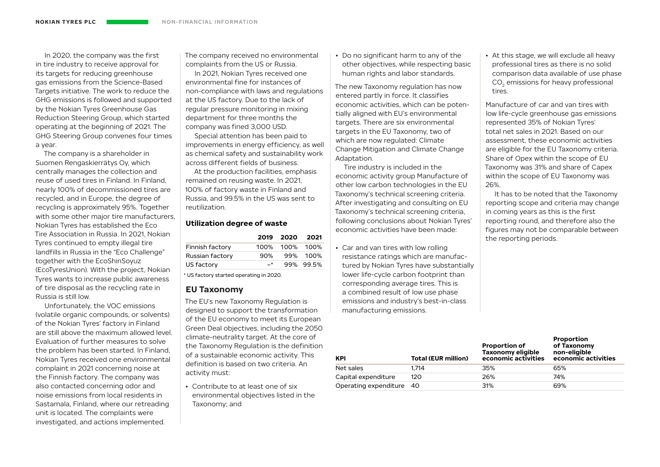In 2020, the company was the first in tire industry to receive approval for its targets for reducing greenhouse gas emissions from the Science-Based Targets initiative. The work to reduce the GHG emissions is followed and supported by the Nokian Tyres Greenhouse Gas Reduction Steering Group, which started operating at the beginning of 2021. The GHG Steering Group convenes four times a year.

The company is a shareholder in Suomen Rengaskierrätys Oy, which centrally manages the collection and reuse of used tires in Finland. In Finland, nearly 100% of decommissioned tires are recycled, and in Europe, the degree of recycling is approximately 95%. Together with some other major tire manufacturers, Nokian Tyres has established the Eco Tire Association in Russia. In 2021, Nokian Tyres continued to empty illegal tire landfills in Russia in the "Eco Challenge" together with the EcoShinSoyuz (EcoTyresUnion). With the project, Nokian Tyres wants to increase public awareness of tire disposal as the recycling rate in Russia is still low.

Unfortunately, the VOC emissions (volatile organic compounds, or solvents) of the Nokian Tyres' factory in Finland are still above the maximum allowed level. Evaluation of further measures to solve the problem has been started. In Finland, Nokian Tyres received one environmental complaint in 2021 concerning noise at the Finnish factory. The company was also contacted concerning odor and noise emissions from local residents in Sastamala, Finland, where our retreading unit is located. The complaints were investigated, and actions implemented.

The company received no environmental complaints from the US or Russia.

In 2021, Nokian Tyres received one environmental fine for instances of non-compliance with laws and regulations at the US factory. Due to the lack of regular pressure monitoring in mixing department for three months the company was fined 3,000 USD.

Special attention has been paid to improvements in energy efficiency, as well as chemical safety and sustainability work across different fields of business.

At the production facilities, emphasis remained on reusing waste. In 2021, 100% of factory waste in Finland and Russia, and 99.5% in the US was sent to reutilization.

#### **Utilization degree of waste**

|                 |       | 2019 2020 2021 |           |
|-----------------|-------|----------------|-----------|
| Finnish factory |       | 100% 100% 100% |           |
| Russian factory | 90%   |                | 99% 100%  |
| US factory      | $-$ * |                | 99% 99.5% |
|                 |       |                |           |

\* US factory started operating in 2020.

#### **EU Taxonomy**

The EU's new Taxonomy Regulation is designed to support the transformation of the EU economy to meet its European Green Deal objectives, including the 2050 climate-neutrality target. At the core of the Taxonomy Regulation is the definition of a sustainable economic activity. This definition is based on two criteria. An activity must:

• Contribute to at least one of six environmental objectives listed in the Taxonomy; and

• Do no significant harm to any of the other objectives, while respecting basic human rights and labor standards.

The new Taxonomy regulation has now entered partly in force. It classifies economic activities, which can be potentially aligned with EU's environmental targets. There are six environmental targets in the EU Taxonomy, two of which are now regulated: Climate Change Mitigation and Climate Change Adaptation.

Tire industry is included in the economic activity group Manufacture of other low carbon technologies in the EU Taxonomy's technical screening criteria. After investigating and consulting on EU Taxonomy's technical screening criteria, following conclusions about Nokian Tyres' economic activities have been made:

• Car and van tires with low rolling resistance ratings which are manufactured by Nokian Tyres have substantially lower life-cycle carbon footprint than corresponding average tires. This is a combined result of low use phase emissions and industry's best-in-class manufacturing emissions.

• At this stage, we will exclude all heavy professional tires as there is no solid comparison data available of use phase CO<sub>2</sub> emissions for heavy professional tires.

Manufacture of car and van tires with low life-cycle greenhouse gas emissions represented 35% of Nokian Tyres' total net sales in 2021. Based on our assessment, these economic activities are eligible for the EU Taxonomy criteria. Share of Opex within the scope of EU Taxonomy was 31% and share of Capex within the scope of EU Taxonomy was 26%.

It has to be noted that the Taxonomy reporting scope and criteria may change in coming years as this is the first reporting round, and therefore also the figures may not be comparable between the reporting periods.

**Proportion** 

| <b>KPI</b>               | <b>Total (EUR million)</b> | <b>Proportion of</b><br><b>Taxonomy eligible</b><br>economic activities | <b>FIVIUI</b> LIVII<br>of Taxonomy<br>non-eligible<br>economic activities |
|--------------------------|----------------------------|-------------------------------------------------------------------------|---------------------------------------------------------------------------|
| Net sales                | 1.714                      | 35%                                                                     | 65%                                                                       |
| Capital expenditure      | 120                        | 26%                                                                     | 74%                                                                       |
| Operating expenditure 40 |                            | 31%                                                                     | 69%                                                                       |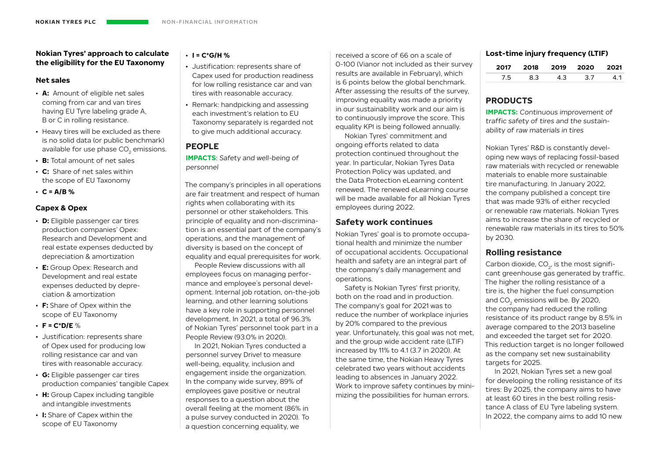#### **Nokian Tyres' approach to calculate the eligibility for the EU Taxonomy**

#### **Net sales**

- **A:** Amount of eligible net sales coming from car and van tires having EU Tyre labeling grade A, B or C in rolling resistance.
- Heavy tires will be excluded as there is no solid data (or public benchmark) available for use phase CO<sub>2</sub> emissions.
- **B:** Total amount of net sales
- **C:** Share of net sales within the scope of EU Taxonomy
- $\cdot$  **C** = A/B %

# **Capex & Opex**

- **D:** Eligible passenger car tires production companies' Opex: Research and Development and real estate expenses deducted by depreciation & amortization
- **E:** Group Opex: Research and Development and real estate expenses deducted by depreciation & amortization
- **F:** Share of Opex within the scope of EU Taxonomy
- **F = C\*D/E** %
- Justification: represents share of Opex used for producing low rolling resistance car and van tires with reasonable accuracy.
- **G:** Eligible passenger car tires production companies' tangible Capex
- **H:** Group Capex including tangible and intangible investments
- **I:** Share of Capex within the scope of EU Taxonomy

# $\cdot$  **I** = C\*G/H %

- Justification: represents share of Capex used for production readiness for low rolling resistance car and van tires with reasonable accuracy.
- Remark: handpicking and assessing each investment's relation to EU Taxonomy separately is regarded not to give much additional accuracy.

# **PEOPLE**

**IMPACTS:** Safety and well-being of personnel

The company's principles in all operations are fair treatment and respect of human rights when collaborating with its personnel or other stakeholders. This principle of equality and non-discrimination is an essential part of the company's operations, and the management of diversity is based on the concept of equality and equal prerequisites for work.

People Review discussions with all employees focus on managing performance and employee´s personal development. Internal job rotation, on-the-job learning, and other learning solutions have a key role in supporting personnel development. In 2021, a total of 96.3% of Nokian Tyres' personnel took part in a People Review (93.0% in 2020).

In 2021, Nokian Tyres conducted a personnel survey Drive! to measure well-being, equality, inclusion and engagement inside the organization. In the company wide survey, 89% of employees gave positive or neutral responses to a question about the overall feeling at the moment (86% in a pulse survey conducted in 2020). To a question concerning equality, we

received a score of 66 on a scale of 0-100 (Vianor not included as their survey results are available in February), which is 6 points below the global benchmark. After assessing the results of the survey, improving equality was made a priority in our sustainability work and our aim is to continuously improve the score. This equality KPI is being followed annually.

Nokian Tyres' commitment and ongoing efforts related to data protection continued throughout the year. In particular, Nokian Tyres Data Protection Policy was updated, and the Data Protection eLearning content renewed. The renewed eLearning course will be made available for all Nokian Tyres employees during 2022.

# **Safety work continues**

Nokian Tyres' goal is to promote occupational health and minimize the number of occupational accidents. Occupational health and safety are an integral part of the company's daily management and operations.

Safety is Nokian Tyres' first priority, both on the road and in production. The company's goal for 2021 was to reduce the number of workplace injuries by 20% compared to the previous year. Unfortunately, this goal was not met, and the group wide accident rate (LTIF) increased by 11% to 4.1 (3.7 in 2020). At the same time, the Nokian Heavy Tyres celebrated two years without accidents leading to absences in January 2022. Work to improve safety continues by minimizing the possibilities for human errors.

### **Lost-time injury frequency (LTIF)**

| 2017                     | - 2018 - |     | 2019 2020       | - 2021 |
|--------------------------|----------|-----|-----------------|--------|
| $\overline{\phantom{a}}$ | 83       | . . | $\overline{37}$ |        |

# **PRODUCTS**

**IMPACTS:** Continuous improvement of traffic safety of tires and the sustainability of raw materials in tires

Nokian Tyres' R&D is constantly developing new ways of replacing fossil-based raw materials with recycled or renewable materials to enable more sustainable tire manufacturing. In January 2022, the company published a concept tire that was made 93% of either recycled or renewable raw materials. Nokian Tyres aims to increase the share of recycled or renewable raw materials in its tires to 50% by 2030.

# **Rolling resistance**

Carbon dioxide, CO<sub>2</sub>, is the most significant greenhouse gas generated by traffic. The higher the rolling resistance of a tire is, the higher the fuel consumption and CO<sub>2</sub> emissions will be. By 2020, the company had reduced the rolling resistance of its product range by 8.5% in average compared to the 2013 baseline and exceeded the target set for 2020. This reduction target is no longer followed as the company set new sustainability targets for 2025.

In 2021, Nokian Tyres set a new goal for developing the rolling resistance of its tires: By 2025, the company aims to have at least 60 tires in the best rolling resistance A class of EU Tyre labeling system. In 2022, the company aims to add 10 new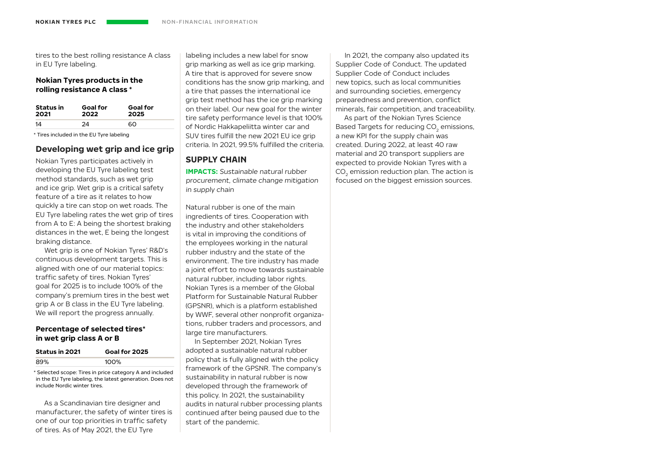tires to the best rolling resistance A class in EU Tyre labeling.

#### **Nokian Tyres products in the rolling resistance A class \***

| <b>Status</b> in | <b>Goal for</b> | <b>Goal for</b> |
|------------------|-----------------|-----------------|
| 2021             | 2022            | 2025            |
| 14               | 24              | റെ              |

\* Tires included in the EU Tyre labeling

### **Developing wet grip and ice grip**

Nokian Tyres participates actively in developing the EU Tyre labeling test method standards, such as wet grip and ice grip. Wet grip is a critical safety feature of a tire as it relates to how quickly a tire can stop on wet roads. The EU Tyre labeling rates the wet grip of tires from A to E: A being the shortest braking distances in the wet, E being the longest braking distance.

Wet grip is one of Nokian Tyres' R&D's continuous development targets. This is aligned with one of our material topics: traffic safety of tires. Nokian Tyres' goal for 2025 is to include 100% of the company's premium tires in the best wet grip A or B class in the EU Tyre labeling. We will report the progress annually.

#### **Percentage of selected tires\* in wet grip class A or B**

| <b>Status in 2021</b> | Goal for 2025 |
|-----------------------|---------------|
| 89%                   | 100%          |

\* Selected scope: Tires in price category A and included in the EU Tyre labeling, the latest generation. Does not include Nordic winter tires.

As a Scandinavian tire designer and manufacturer, the safety of winter tires is one of our top priorities in traffic safety of tires. As of May 2021, the EU Tyre

labeling includes a new label for snow grip marking as well as ice grip marking. A tire that is approved for severe snow conditions has the snow grip marking, and a tire that passes the international ice grip test method has the ice grip marking on their label. Our new goal for the winter tire safety performance level is that 100% of Nordic Hakkapeliitta winter car and SUV tires fulfill the new 2021 EU ice grip criteria. In 2021, 99.5% fulfilled the criteria.

## **SUPPLY CHAIN**

**IMPACTS:** Sustainable natural rubber procurement, climate change mitigation in supply chain

Natural rubber is one of the main ingredients of tires. Cooperation with the industry and other stakeholders is vital in improving the conditions of the employees working in the natural rubber industry and the state of the environment. The tire industry has made a joint effort to move towards sustainable natural rubber, including labor rights. Nokian Tyres is a member of the Global Platform for Sustainable Natural Rubber (GPSNR), which is a platform established by WWF, several other nonprofit organizations, rubber traders and processors, and large tire manufacturers.

In September 2021, Nokian Tyres adopted a sustainable natural rubber policy that is fully aligned with the policy framework of the GPSNR. The company's sustainability in natural rubber is now developed through the framework of this policy. In 2021, the sustainability audits in natural rubber processing plants continued after being paused due to the start of the pandemic.

In 2021, the company also updated its Supplier Code of Conduct. The updated Supplier Code of Conduct includes new topics, such as local communities and surrounding societies, emergency preparedness and prevention, conflict minerals, fair competition, and traceability.

As part of the Nokian Tyres Science Based Targets for reducing CO<sub>2</sub> emissions, a new KPI for the supply chain was created. During 2022, at least 40 raw material and 20 transport suppliers are expected to provide Nokian Tyres with a CO<sub>2</sub> emission reduction plan. The action is focused on the biggest emission sources.